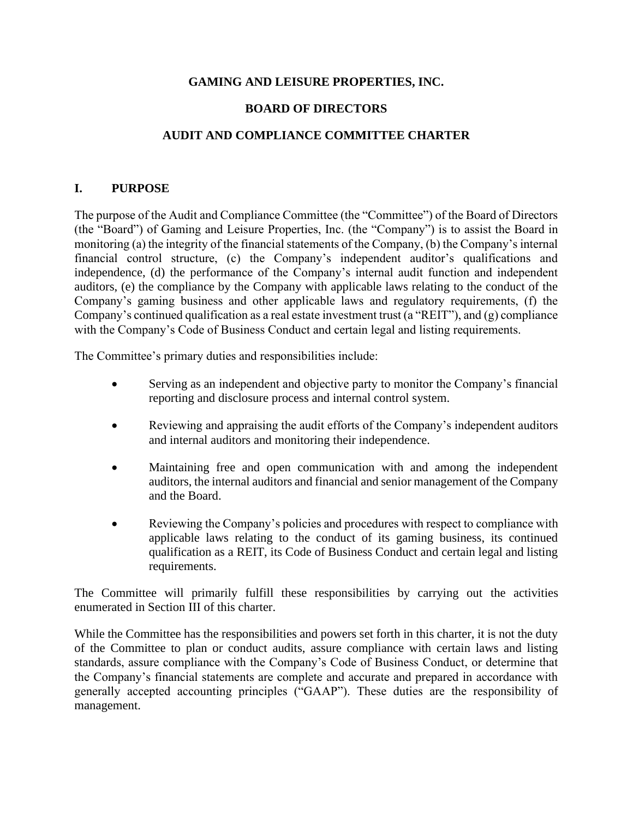### **GAMING AND LEISURE PROPERTIES, INC.**

### **BOARD OF DIRECTORS**

### **AUDIT AND COMPLIANCE COMMITTEE CHARTER**

#### **I. PURPOSE**

The purpose of the Audit and Compliance Committee (the "Committee") of the Board of Directors (the "Board") of Gaming and Leisure Properties, Inc. (the "Company") is to assist the Board in monitoring (a) the integrity of the financial statements of the Company, (b) the Company's internal financial control structure, (c) the Company's independent auditor's qualifications and independence, (d) the performance of the Company's internal audit function and independent auditors, (e) the compliance by the Company with applicable laws relating to the conduct of the Company's gaming business and other applicable laws and regulatory requirements, (f) the Company's continued qualification as a real estate investment trust (a "REIT"), and (g) compliance with the Company's Code of Business Conduct and certain legal and listing requirements.

The Committee's primary duties and responsibilities include:

- Serving as an independent and objective party to monitor the Company's financial reporting and disclosure process and internal control system.
- Reviewing and appraising the audit efforts of the Company's independent auditors and internal auditors and monitoring their independence.
- Maintaining free and open communication with and among the independent auditors, the internal auditors and financial and senior management of the Company and the Board.
- Reviewing the Company's policies and procedures with respect to compliance with applicable laws relating to the conduct of its gaming business, its continued qualification as a REIT, its Code of Business Conduct and certain legal and listing requirements.

The Committee will primarily fulfill these responsibilities by carrying out the activities enumerated in Section III of this charter.

While the Committee has the responsibilities and powers set forth in this charter, it is not the duty of the Committee to plan or conduct audits, assure compliance with certain laws and listing standards, assure compliance with the Company's Code of Business Conduct, or determine that the Company's financial statements are complete and accurate and prepared in accordance with generally accepted accounting principles ("GAAP"). These duties are the responsibility of management.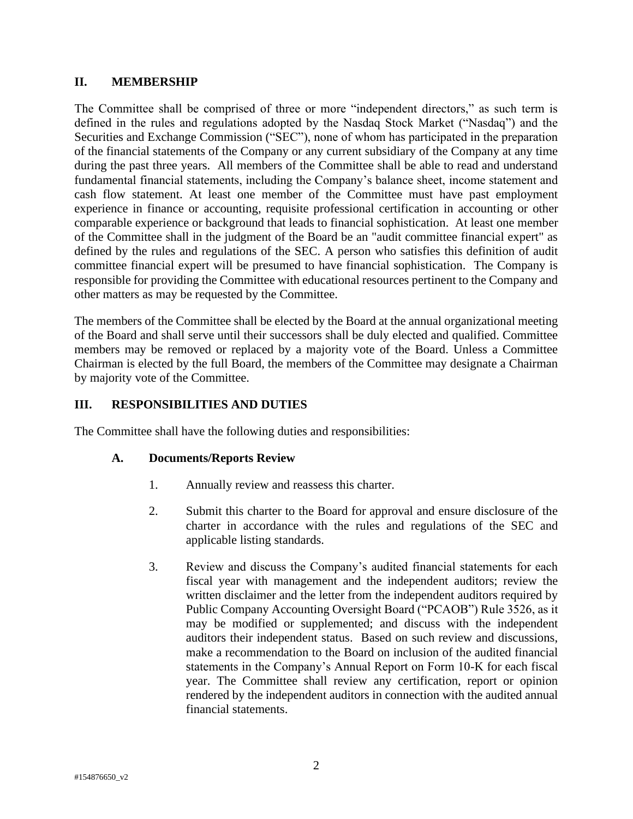### **II. MEMBERSHIP**

The Committee shall be comprised of three or more "independent directors," as such term is defined in the rules and regulations adopted by the Nasdaq Stock Market ("Nasdaq") and the Securities and Exchange Commission ("SEC"), none of whom has participated in the preparation of the financial statements of the Company or any current subsidiary of the Company at any time during the past three years. All members of the Committee shall be able to read and understand fundamental financial statements, including the Company's balance sheet, income statement and cash flow statement. At least one member of the Committee must have past employment experience in finance or accounting, requisite professional certification in accounting or other comparable experience or background that leads to financial sophistication. At least one member of the Committee shall in the judgment of the Board be an "audit committee financial expert" as defined by the rules and regulations of the SEC. A person who satisfies this definition of audit committee financial expert will be presumed to have financial sophistication. The Company is responsible for providing the Committee with educational resources pertinent to the Company and other matters as may be requested by the Committee.

The members of the Committee shall be elected by the Board at the annual organizational meeting of the Board and shall serve until their successors shall be duly elected and qualified. Committee members may be removed or replaced by a majority vote of the Board. Unless a Committee Chairman is elected by the full Board, the members of the Committee may designate a Chairman by majority vote of the Committee.

### **III. RESPONSIBILITIES AND DUTIES**

The Committee shall have the following duties and responsibilities:

# **A. Documents/Reports Review**

- 1. Annually review and reassess this charter.
- 2. Submit this charter to the Board for approval and ensure disclosure of the charter in accordance with the rules and regulations of the SEC and applicable listing standards.
- 3. Review and discuss the Company's audited financial statements for each fiscal year with management and the independent auditors; review the written disclaimer and the letter from the independent auditors required by Public Company Accounting Oversight Board ("PCAOB") Rule 3526, as it may be modified or supplemented; and discuss with the independent auditors their independent status. Based on such review and discussions, make a recommendation to the Board on inclusion of the audited financial statements in the Company's Annual Report on Form 10-K for each fiscal year. The Committee shall review any certification, report or opinion rendered by the independent auditors in connection with the audited annual financial statements.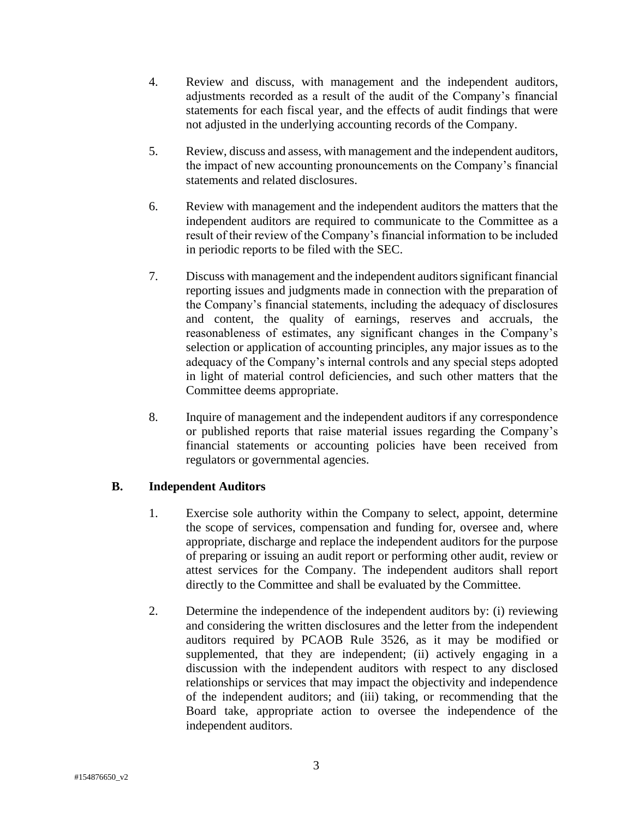- 4. Review and discuss, with management and the independent auditors, adjustments recorded as a result of the audit of the Company's financial statements for each fiscal year, and the effects of audit findings that were not adjusted in the underlying accounting records of the Company.
- 5. Review, discuss and assess, with management and the independent auditors, the impact of new accounting pronouncements on the Company's financial statements and related disclosures.
- 6. Review with management and the independent auditors the matters that the independent auditors are required to communicate to the Committee as a result of their review of the Company's financial information to be included in periodic reports to be filed with the SEC.
- 7. Discuss with management and the independent auditors significant financial reporting issues and judgments made in connection with the preparation of the Company's financial statements, including the adequacy of disclosures and content, the quality of earnings, reserves and accruals, the reasonableness of estimates, any significant changes in the Company's selection or application of accounting principles, any major issues as to the adequacy of the Company's internal controls and any special steps adopted in light of material control deficiencies, and such other matters that the Committee deems appropriate.
- 8. Inquire of management and the independent auditors if any correspondence or published reports that raise material issues regarding the Company's financial statements or accounting policies have been received from regulators or governmental agencies.

# **B. Independent Auditors**

- 1. Exercise sole authority within the Company to select, appoint, determine the scope of services, compensation and funding for, oversee and, where appropriate, discharge and replace the independent auditors for the purpose of preparing or issuing an audit report or performing other audit, review or attest services for the Company. The independent auditors shall report directly to the Committee and shall be evaluated by the Committee.
- 2. Determine the independence of the independent auditors by: (i) reviewing and considering the written disclosures and the letter from the independent auditors required by PCAOB Rule 3526, as it may be modified or supplemented, that they are independent; (ii) actively engaging in a discussion with the independent auditors with respect to any disclosed relationships or services that may impact the objectivity and independence of the independent auditors; and (iii) taking, or recommending that the Board take, appropriate action to oversee the independence of the independent auditors.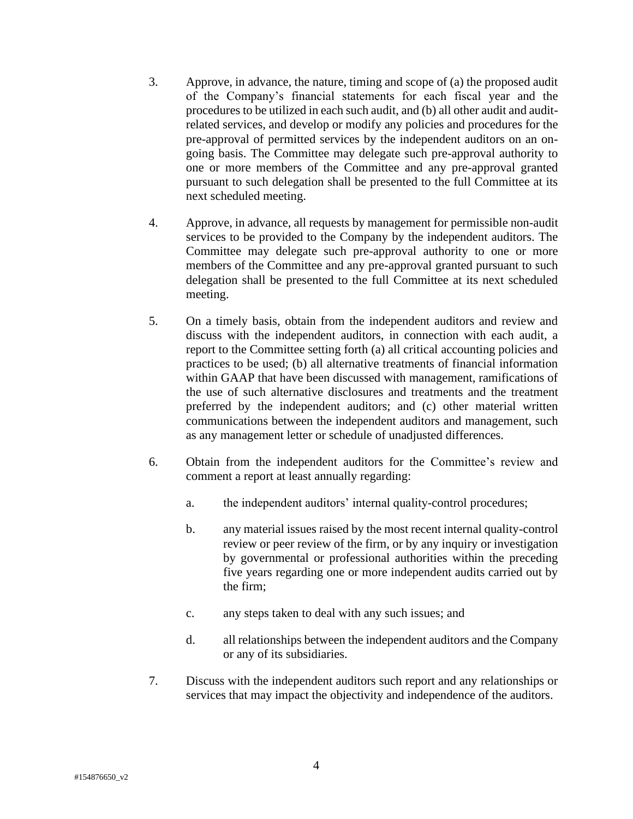- 3. Approve, in advance, the nature, timing and scope of (a) the proposed audit of the Company's financial statements for each fiscal year and the procedures to be utilized in each such audit, and (b) all other audit and auditrelated services, and develop or modify any policies and procedures for the pre-approval of permitted services by the independent auditors on an ongoing basis. The Committee may delegate such pre-approval authority to one or more members of the Committee and any pre-approval granted pursuant to such delegation shall be presented to the full Committee at its next scheduled meeting.
- 4. Approve, in advance, all requests by management for permissible non-audit services to be provided to the Company by the independent auditors. The Committee may delegate such pre-approval authority to one or more members of the Committee and any pre-approval granted pursuant to such delegation shall be presented to the full Committee at its next scheduled meeting.
- 5. On a timely basis, obtain from the independent auditors and review and discuss with the independent auditors, in connection with each audit, a report to the Committee setting forth (a) all critical accounting policies and practices to be used; (b) all alternative treatments of financial information within GAAP that have been discussed with management, ramifications of the use of such alternative disclosures and treatments and the treatment preferred by the independent auditors; and (c) other material written communications between the independent auditors and management, such as any management letter or schedule of unadjusted differences.
- 6. Obtain from the independent auditors for the Committee's review and comment a report at least annually regarding:
	- a. the independent auditors' internal quality-control procedures;
	- b. any material issues raised by the most recent internal quality-control review or peer review of the firm, or by any inquiry or investigation by governmental or professional authorities within the preceding five years regarding one or more independent audits carried out by the firm;
	- c. any steps taken to deal with any such issues; and
	- d. all relationships between the independent auditors and the Company or any of its subsidiaries.
- 7. Discuss with the independent auditors such report and any relationships or services that may impact the objectivity and independence of the auditors.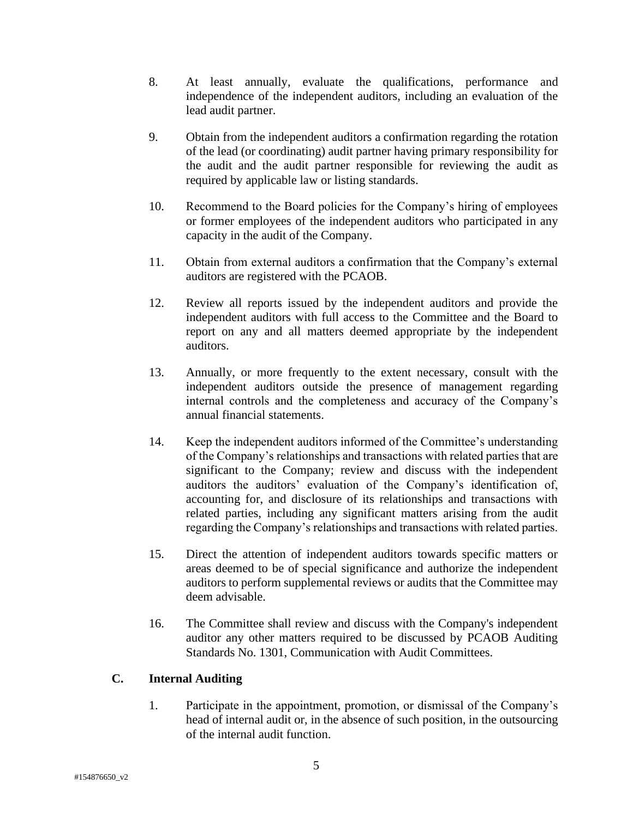- 8. At least annually, evaluate the qualifications, performance and independence of the independent auditors, including an evaluation of the lead audit partner.
- 9. Obtain from the independent auditors a confirmation regarding the rotation of the lead (or coordinating) audit partner having primary responsibility for the audit and the audit partner responsible for reviewing the audit as required by applicable law or listing standards.
- 10. Recommend to the Board policies for the Company's hiring of employees or former employees of the independent auditors who participated in any capacity in the audit of the Company.
- 11. Obtain from external auditors a confirmation that the Company's external auditors are registered with the PCAOB.
- 12. Review all reports issued by the independent auditors and provide the independent auditors with full access to the Committee and the Board to report on any and all matters deemed appropriate by the independent auditors.
- 13. Annually, or more frequently to the extent necessary, consult with the independent auditors outside the presence of management regarding internal controls and the completeness and accuracy of the Company's annual financial statements.
- 14. Keep the independent auditors informed of the Committee's understanding of the Company's relationships and transactions with related parties that are significant to the Company; review and discuss with the independent auditors the auditors' evaluation of the Company's identification of, accounting for, and disclosure of its relationships and transactions with related parties, including any significant matters arising from the audit regarding the Company's relationships and transactions with related parties.
- 15. Direct the attention of independent auditors towards specific matters or areas deemed to be of special significance and authorize the independent auditors to perform supplemental reviews or audits that the Committee may deem advisable.
- 16. The Committee shall review and discuss with the Company's independent auditor any other matters required to be discussed by PCAOB Auditing Standards No. 1301, Communication with Audit Committees.

# **C. Internal Auditing**

1. Participate in the appointment, promotion, or dismissal of the Company's head of internal audit or, in the absence of such position, in the outsourcing of the internal audit function.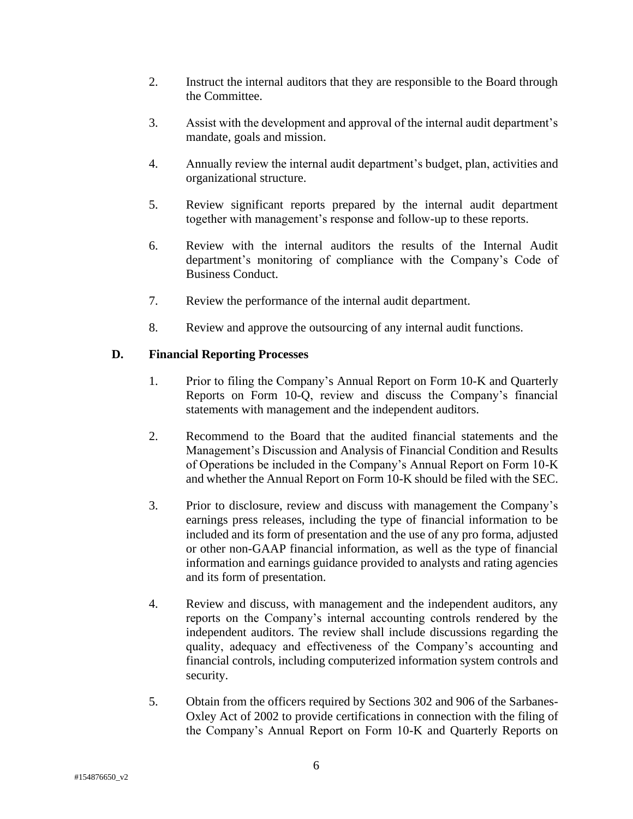- 2. Instruct the internal auditors that they are responsible to the Board through the Committee.
- 3. Assist with the development and approval of the internal audit department's mandate, goals and mission.
- 4. Annually review the internal audit department's budget, plan, activities and organizational structure.
- 5. Review significant reports prepared by the internal audit department together with management's response and follow-up to these reports.
- 6. Review with the internal auditors the results of the Internal Audit department's monitoring of compliance with the Company's Code of Business Conduct.
- 7. Review the performance of the internal audit department.
- 8. Review and approve the outsourcing of any internal audit functions.

#### **D. Financial Reporting Processes**

- 1. Prior to filing the Company's Annual Report on Form 10-K and Quarterly Reports on Form 10-Q, review and discuss the Company's financial statements with management and the independent auditors.
- 2. Recommend to the Board that the audited financial statements and the Management's Discussion and Analysis of Financial Condition and Results of Operations be included in the Company's Annual Report on Form 10-K and whether the Annual Report on Form 10-K should be filed with the SEC.
- 3. Prior to disclosure, review and discuss with management the Company's earnings press releases, including the type of financial information to be included and its form of presentation and the use of any pro forma, adjusted or other non-GAAP financial information, as well as the type of financial information and earnings guidance provided to analysts and rating agencies and its form of presentation.
- 4. Review and discuss, with management and the independent auditors, any reports on the Company's internal accounting controls rendered by the independent auditors. The review shall include discussions regarding the quality, adequacy and effectiveness of the Company's accounting and financial controls, including computerized information system controls and security.
- 5. Obtain from the officers required by Sections 302 and 906 of the Sarbanes-Oxley Act of 2002 to provide certifications in connection with the filing of the Company's Annual Report on Form 10-K and Quarterly Reports on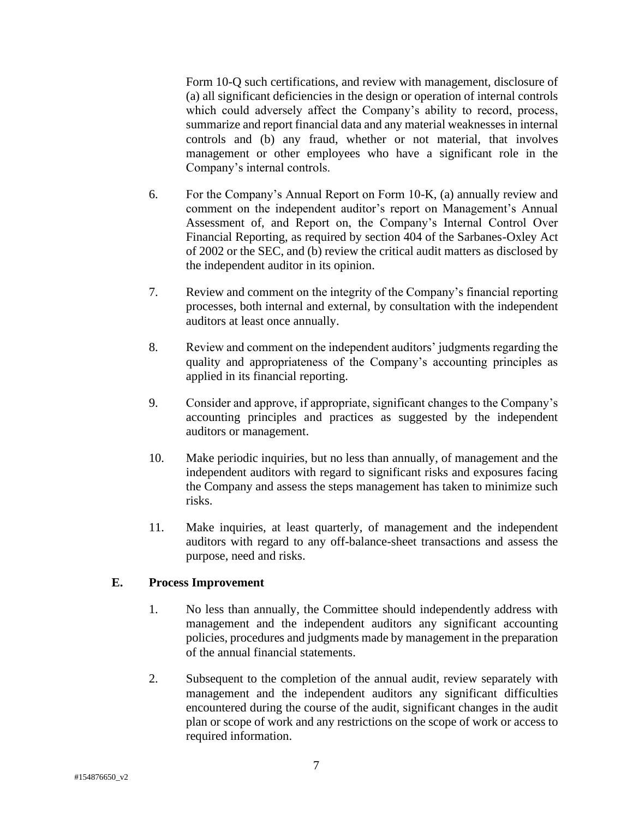Form 10-Q such certifications, and review with management, disclosure of (a) all significant deficiencies in the design or operation of internal controls which could adversely affect the Company's ability to record, process, summarize and report financial data and any material weaknesses in internal controls and (b) any fraud, whether or not material, that involves management or other employees who have a significant role in the Company's internal controls.

- 6. For the Company's Annual Report on Form 10-K, (a) annually review and comment on the independent auditor's report on Management's Annual Assessment of, and Report on, the Company's Internal Control Over Financial Reporting, as required by section 404 of the Sarbanes-Oxley Act of 2002 or the SEC, and (b) review the critical audit matters as disclosed by the independent auditor in its opinion.
- 7. Review and comment on the integrity of the Company's financial reporting processes, both internal and external, by consultation with the independent auditors at least once annually.
- 8. Review and comment on the independent auditors' judgments regarding the quality and appropriateness of the Company's accounting principles as applied in its financial reporting.
- 9. Consider and approve, if appropriate, significant changes to the Company's accounting principles and practices as suggested by the independent auditors or management.
- 10. Make periodic inquiries, but no less than annually, of management and the independent auditors with regard to significant risks and exposures facing the Company and assess the steps management has taken to minimize such risks.
- 11. Make inquiries, at least quarterly, of management and the independent auditors with regard to any off-balance-sheet transactions and assess the purpose, need and risks.

# **E. Process Improvement**

- 1. No less than annually, the Committee should independently address with management and the independent auditors any significant accounting policies, procedures and judgments made by management in the preparation of the annual financial statements.
- 2. Subsequent to the completion of the annual audit, review separately with management and the independent auditors any significant difficulties encountered during the course of the audit, significant changes in the audit plan or scope of work and any restrictions on the scope of work or access to required information.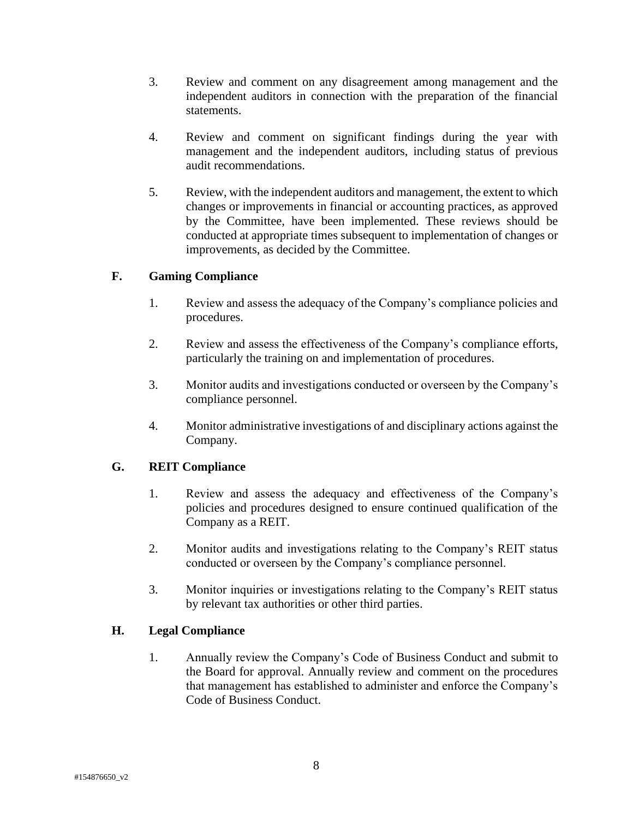- 3. Review and comment on any disagreement among management and the independent auditors in connection with the preparation of the financial statements.
- 4. Review and comment on significant findings during the year with management and the independent auditors, including status of previous audit recommendations.
- 5. Review, with the independent auditors and management, the extent to which changes or improvements in financial or accounting practices, as approved by the Committee, have been implemented. These reviews should be conducted at appropriate times subsequent to implementation of changes or improvements, as decided by the Committee.

#### **F. Gaming Compliance**

- 1. Review and assess the adequacy of the Company's compliance policies and procedures.
- 2. Review and assess the effectiveness of the Company's compliance efforts, particularly the training on and implementation of procedures.
- 3. Monitor audits and investigations conducted or overseen by the Company's compliance personnel.
- 4. Monitor administrative investigations of and disciplinary actions against the Company.

# **G. REIT Compliance**

- 1. Review and assess the adequacy and effectiveness of the Company's policies and procedures designed to ensure continued qualification of the Company as a REIT.
- 2. Monitor audits and investigations relating to the Company's REIT status conducted or overseen by the Company's compliance personnel.
- 3. Monitor inquiries or investigations relating to the Company's REIT status by relevant tax authorities or other third parties.

#### **H. Legal Compliance**

1. Annually review the Company's Code of Business Conduct and submit to the Board for approval. Annually review and comment on the procedures that management has established to administer and enforce the Company's Code of Business Conduct.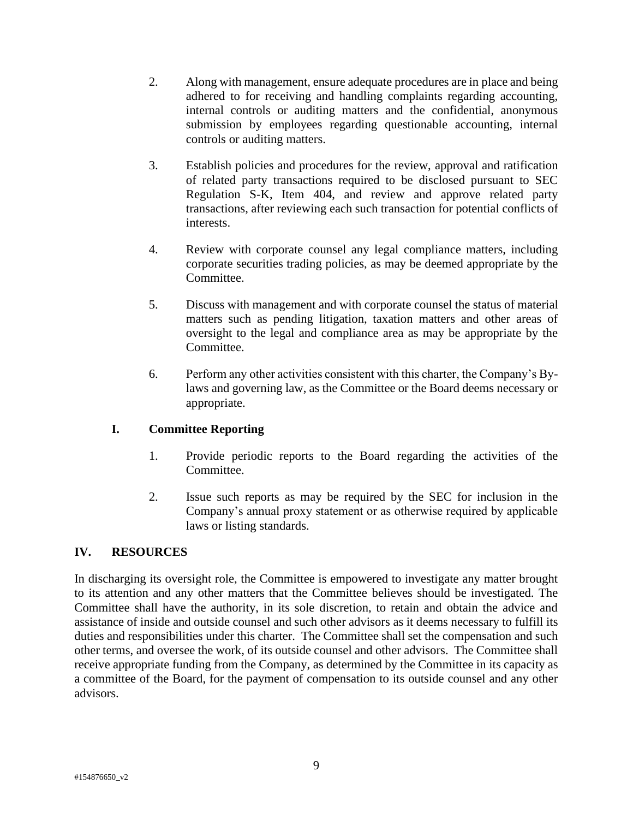- 2. Along with management, ensure adequate procedures are in place and being adhered to for receiving and handling complaints regarding accounting, internal controls or auditing matters and the confidential, anonymous submission by employees regarding questionable accounting, internal controls or auditing matters.
- 3. Establish policies and procedures for the review, approval and ratification of related party transactions required to be disclosed pursuant to SEC Regulation S-K, Item 404, and review and approve related party transactions, after reviewing each such transaction for potential conflicts of interests.
- 4. Review with corporate counsel any legal compliance matters, including corporate securities trading policies, as may be deemed appropriate by the Committee.
- 5. Discuss with management and with corporate counsel the status of material matters such as pending litigation, taxation matters and other areas of oversight to the legal and compliance area as may be appropriate by the Committee.
- 6. Perform any other activities consistent with this charter, the Company's Bylaws and governing law, as the Committee or the Board deems necessary or appropriate.

# **I. Committee Reporting**

- 1. Provide periodic reports to the Board regarding the activities of the Committee.
- 2. Issue such reports as may be required by the SEC for inclusion in the Company's annual proxy statement or as otherwise required by applicable laws or listing standards.

# **IV. RESOURCES**

In discharging its oversight role, the Committee is empowered to investigate any matter brought to its attention and any other matters that the Committee believes should be investigated. The Committee shall have the authority, in its sole discretion, to retain and obtain the advice and assistance of inside and outside counsel and such other advisors as it deems necessary to fulfill its duties and responsibilities under this charter. The Committee shall set the compensation and such other terms, and oversee the work, of its outside counsel and other advisors. The Committee shall receive appropriate funding from the Company, as determined by the Committee in its capacity as a committee of the Board, for the payment of compensation to its outside counsel and any other advisors.